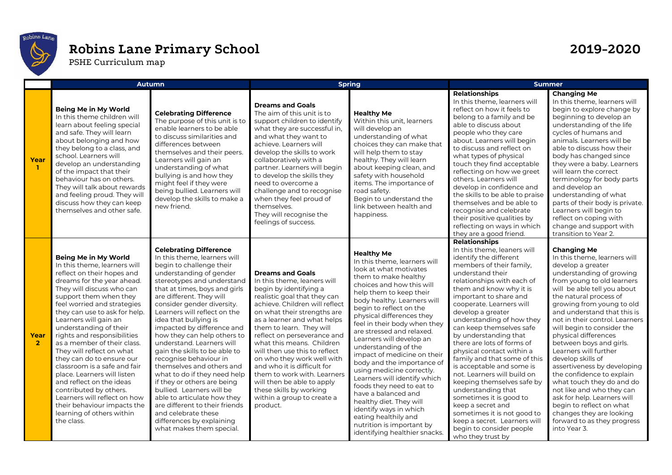

## **Robins Lane Primary School 2019-2020**

PSHE Curriculum map

|                        | <b>Autumn</b>                                                                                                                                                                                                                                                                                                                                                                                                                                                                                                                                                                                                                                     |                                                                                                                                                                                                                                                                                                                                                                                                                                                                                                                                                                                                                                                                                                                                       | <b>Spring</b>                                                                                                                                                                                                                                                                                                                                                                                                                                                                                                                            |                                                                                                                                                                                                                                                                                                                                                                                                                                                                                                                                                                                                                                                                                              | <b>Summer</b>                                                                                                                                                                                                                                                                                                                                                                                                                                                                                                                                                                                                                                                                                                                  |                                                                                                                                                                                                                                                                                                                                                                                                                                                                                                                                                                                                                                                                                     |
|------------------------|---------------------------------------------------------------------------------------------------------------------------------------------------------------------------------------------------------------------------------------------------------------------------------------------------------------------------------------------------------------------------------------------------------------------------------------------------------------------------------------------------------------------------------------------------------------------------------------------------------------------------------------------------|---------------------------------------------------------------------------------------------------------------------------------------------------------------------------------------------------------------------------------------------------------------------------------------------------------------------------------------------------------------------------------------------------------------------------------------------------------------------------------------------------------------------------------------------------------------------------------------------------------------------------------------------------------------------------------------------------------------------------------------|------------------------------------------------------------------------------------------------------------------------------------------------------------------------------------------------------------------------------------------------------------------------------------------------------------------------------------------------------------------------------------------------------------------------------------------------------------------------------------------------------------------------------------------|----------------------------------------------------------------------------------------------------------------------------------------------------------------------------------------------------------------------------------------------------------------------------------------------------------------------------------------------------------------------------------------------------------------------------------------------------------------------------------------------------------------------------------------------------------------------------------------------------------------------------------------------------------------------------------------------|--------------------------------------------------------------------------------------------------------------------------------------------------------------------------------------------------------------------------------------------------------------------------------------------------------------------------------------------------------------------------------------------------------------------------------------------------------------------------------------------------------------------------------------------------------------------------------------------------------------------------------------------------------------------------------------------------------------------------------|-------------------------------------------------------------------------------------------------------------------------------------------------------------------------------------------------------------------------------------------------------------------------------------------------------------------------------------------------------------------------------------------------------------------------------------------------------------------------------------------------------------------------------------------------------------------------------------------------------------------------------------------------------------------------------------|
| Year                   | Being Me in My World<br>In this theme children will<br>learn about feeling special<br>and safe. They will learn<br>about belonging and how<br>they belong to a class, and<br>school. Learners will<br>develop an understanding<br>of the impact that their<br>behaviour has on others.<br>They will talk about rewards<br>and feeling proud. They will<br>discuss how they can keep<br>themselves and other safe.                                                                                                                                                                                                                                 | <b>Celebrating Difference</b><br>The purpose of this unit is to<br>enable learners to be able<br>to discuss similarities and<br>differences between<br>themselves and their peers.<br>Learners will gain an<br>understanding of what<br>bullying is and how they<br>might feel if they were<br>being bullied. Learners will<br>develop the skills to make a<br>new friend.                                                                                                                                                                                                                                                                                                                                                            | <b>Dreams and Goals</b><br>The aim of this unit is to<br>support children to identify<br>what they are successful in,<br>and what they want to<br>achieve. Learners will<br>develop the skills to work<br>collaboratively with a<br>partner. Learners will begin<br>to develop the skills they<br>need to overcome a<br>challenge and to recognise<br>when they feel proud of<br>themselves.<br>They will recognise the<br>feelings of success.                                                                                          | <b>Healthy Me</b><br>Within this unit, learners<br>will develop an<br>understanding of what<br>choices they can make that<br>will help them to stay<br>healthy. They will learn<br>about keeping clean, and<br>safety with household<br>items. The importance of<br>road safety.<br>Begin to understand the<br>link between health and<br>happiness.                                                                                                                                                                                                                                                                                                                                         | <b>Relationships</b><br>In this theme, learners will<br>reflect on how it feels to<br>belong to a family and be<br>able to discuss about<br>people who they care<br>about. Learners will begin<br>to discuss and reflect on<br>what types of physical<br>touch they find acceptable<br>reflecting on how we greet<br>others. Learners will<br>develop in confidence and<br>the skills to be able to praise<br>themselves and be able to<br>recognise and celebrate<br>their positive qualities by<br>reflecting on ways in which<br>they are a good friend.                                                                                                                                                                    | <b>Changing Me</b><br>In this theme, learners will<br>begin to explore change by<br>beginning to develop an<br>understanding of the life<br>cycles of humans and<br>animals. Learners will be<br>able to discuss how their<br>body has changed since<br>they were a baby. Learners<br>will learn the correct<br>terminology for body parts<br>and develop an<br>understanding of what<br>parts of their body is private.<br>Learners will begin to<br>reflect on coping with<br>change and support with<br>transition to Year 2.                                                                                                                                                    |
| Year<br>$\overline{2}$ | Being Me in My World<br>In this theme, learners will<br>reflect on their hopes and<br>dreams for the year ahead.<br>They will discuss who can<br>support them when they<br>feel worried and strategies<br>they can use to ask for help.<br>Learners will gain an<br>understanding of their<br>rights and responsibilities<br>as a member of their class.<br>They will reflect on what<br>they can do to ensure our<br>classroom is a safe and fair<br>place. Learners will listen<br>and reflect on the ideas<br>contributed by others.<br>Learners will reflect on how<br>their behaviour impacts the<br>learning of others within<br>the class. | <b>Celebrating Difference</b><br>In this theme, learners will<br>begin to challenge their<br>understanding of gender<br>stereotypes and understand<br>that at times, boys and girls<br>are different. They will<br>consider gender diversity.<br>Learners will reflect on the<br>idea that bullying is<br>impacted by difference and<br>how they can help others to<br>understand. Learners will<br>gain the skills to be able to<br>recognise behaviour in<br>themselves and others and<br>what to do if they need help<br>if they or others are being<br>bullied. Learners will be<br>able to articulate how they<br>are different to their friends<br>and celebrate these<br>differences by explaining<br>what makes them special. | <b>Dreams and Goals</b><br>In this theme, leaners will<br>begin by identifying a<br>realistic goal that they can<br>achieve. Children will reflect<br>on what their strengths are<br>as a learner and what helps<br>them to learn. They will<br>reflect on perseverance and<br>what this means. Children<br>will then use this to reflect<br>on who they work well with<br>and who it is difficult for<br>them to work with. Learners<br>will then be able to apply<br>these skills by working<br>within a group to create a<br>product. | <b>Healthy Me</b><br>In this theme, learners will<br>look at what motivates<br>them to make healthy<br>choices and how this will<br>help them to keep their<br>body healthy. Learners will<br>begin to reflect on the<br>physical differences they<br>feel in their body when they<br>are stressed and relaxed.<br>Learners will develop an<br>understanding of the<br>impact of medicine on their<br>body and the importance of<br>using medicine correctly.<br>Learners will identify which<br>foods they need to eat to<br>have a balanced and<br>healthy diet. They will<br>identify ways in which<br>eating healthily and<br>nutrition is important by<br>identifying healthier snacks. | <b>Relationships</b><br>In this theme, leaners will<br>identify the different<br>members of their family,<br>understand their<br>relationships with each of<br>them and know why it is<br>important to share and<br>cooperate. Learners will<br>develop a greater<br>understanding of how they<br>can keep themselves safe<br>by understanding that<br>there are lots of forms of<br>physical contact within a<br>family and that some of this<br>is acceptable and some is<br>not. Learners will build on<br>keeping themselves safe by<br>understanding that<br>sometimes it is good to<br>keep a secret and<br>sometimes it is not good to<br>keep a secret. Learners will<br>begin to consider people<br>who they trust by | <b>Changing Me</b><br>In this theme, learners will<br>develop a greater<br>understanding of growing<br>from young to old learners<br>will be able tell you about<br>the natural process of<br>growing from young to old<br>and understand that this is<br>not in their control. Learners<br>will begin to consider the<br>physical differences<br>between boys and girls.<br>Learners will further<br>develop skills of<br>assertiveness by developing<br>the confidence to explain<br>what touch they do and do<br>not like and who they can<br>ask for help. Learners will<br>begin to reflect on what<br>changes they are looking<br>forward to as they progress<br>into Year 3. |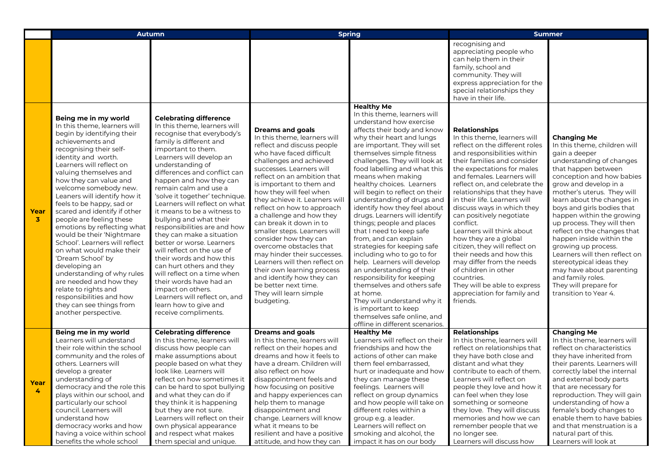|                      | <b>Autumn</b>                                                                                                                                                                                                                                                                                                                                                                                                                                                                                                                                                                                                                                                                                                               |                                                                                                                                                                                                                                                                                                                                                                                                                                                                                                                                                                                                                                                                                                                                                                | <b>Spring</b>                                                                                                                                                                                                                                                                                                                                                                                                                                                                                                                                                                                                                                                        |                                                                                                                                                                                                                                                                                                                                                                                                                                                                                                                                                                                                                                                                                                                                                                                                                                                                       | <b>Summer</b>                                                                                                                                                                                                                                                                                                                                                                                                                                                                                                                                                                                                                                             |                                                                                                                                                                                                                                                                                                                                                                                                                                                                                                                                                                                     |
|----------------------|-----------------------------------------------------------------------------------------------------------------------------------------------------------------------------------------------------------------------------------------------------------------------------------------------------------------------------------------------------------------------------------------------------------------------------------------------------------------------------------------------------------------------------------------------------------------------------------------------------------------------------------------------------------------------------------------------------------------------------|----------------------------------------------------------------------------------------------------------------------------------------------------------------------------------------------------------------------------------------------------------------------------------------------------------------------------------------------------------------------------------------------------------------------------------------------------------------------------------------------------------------------------------------------------------------------------------------------------------------------------------------------------------------------------------------------------------------------------------------------------------------|----------------------------------------------------------------------------------------------------------------------------------------------------------------------------------------------------------------------------------------------------------------------------------------------------------------------------------------------------------------------------------------------------------------------------------------------------------------------------------------------------------------------------------------------------------------------------------------------------------------------------------------------------------------------|-----------------------------------------------------------------------------------------------------------------------------------------------------------------------------------------------------------------------------------------------------------------------------------------------------------------------------------------------------------------------------------------------------------------------------------------------------------------------------------------------------------------------------------------------------------------------------------------------------------------------------------------------------------------------------------------------------------------------------------------------------------------------------------------------------------------------------------------------------------------------|-----------------------------------------------------------------------------------------------------------------------------------------------------------------------------------------------------------------------------------------------------------------------------------------------------------------------------------------------------------------------------------------------------------------------------------------------------------------------------------------------------------------------------------------------------------------------------------------------------------------------------------------------------------|-------------------------------------------------------------------------------------------------------------------------------------------------------------------------------------------------------------------------------------------------------------------------------------------------------------------------------------------------------------------------------------------------------------------------------------------------------------------------------------------------------------------------------------------------------------------------------------|
|                      |                                                                                                                                                                                                                                                                                                                                                                                                                                                                                                                                                                                                                                                                                                                             |                                                                                                                                                                                                                                                                                                                                                                                                                                                                                                                                                                                                                                                                                                                                                                |                                                                                                                                                                                                                                                                                                                                                                                                                                                                                                                                                                                                                                                                      |                                                                                                                                                                                                                                                                                                                                                                                                                                                                                                                                                                                                                                                                                                                                                                                                                                                                       | recognising and<br>appreciating people who<br>can help them in their<br>family, school and<br>community. They will<br>express appreciation for the<br>special relationships they<br>have in their life.                                                                                                                                                                                                                                                                                                                                                                                                                                                   |                                                                                                                                                                                                                                                                                                                                                                                                                                                                                                                                                                                     |
| Year<br>$\mathbf{3}$ | Being me in my world<br>In this theme, learners will<br>begin by identifying their<br>achievements and<br>recognising their self-<br>identity and worth.<br>Learners will reflect on<br>valuing themselves and<br>how they can value and<br>welcome somebody new.<br>Leaners will identify how it<br>feels to be happy, sad or<br>scared and identify if other<br>people are feeling these<br>emotions by reflecting what<br>would be their 'Nightmare<br>School'. Learners will reflect<br>on what would make their<br>'Dream School' by<br>developing an<br>understanding of why rules<br>are needed and how they<br>relate to rights and<br>responsibilities and how<br>they can see things from<br>another perspective. | <b>Celebrating difference</b><br>In this theme, learners will<br>recognise that everybody's<br>family is different and<br>important to them.<br>Learners will develop an<br>understanding of<br>differences and conflict can<br>happen and how they can<br>remain calm and use a<br>'solve it together' technique.<br>Learners will reflect on what<br>it means to be a witness to<br>bullying and what their<br>responsibilities are and how<br>they can make a situation<br>better or worse. Learners<br>will reflect on the use of<br>their words and how this<br>can hurt others and they<br>will reflect on a time when<br>their words have had an<br>impact on others.<br>Learners will reflect on, and<br>learn how to give and<br>receive compliments. | <b>Dreams and goals</b><br>In this theme, learners will<br>reflect and discuss people<br>who have faced difficult<br>challenges and achieved<br>successes. Learners will<br>reflect on an ambition that<br>is important to them and<br>how they will feel when<br>they achieve it. Learners will<br>reflect on how to approach<br>a challenge and how they<br>can break it down in to<br>smaller steps. Learners will<br>consider how they can<br>overcome obstacles that<br>may hinder their successes.<br>Learners will then reflect on<br>their own learning process<br>and identify how they can<br>be better next time.<br>They will learn simple<br>budgeting. | <b>Healthy Me</b><br>In this theme, learners will<br>understand how exercise<br>affects their body and know<br>why their heart and lungs<br>are important. They will set<br>themselves simple fitness<br>challenges. They will look at<br>food labelling and what this<br>means when making<br>healthy choices. Learners<br>will begin to reflect on their<br>understanding of drugs and<br>identify how they feel about<br>drugs. Learners will identify<br>things; people and places<br>that I need to keep safe<br>from, and can explain<br>strategies for keeping safe<br>including who to go to for<br>help. Learners will develop<br>an understanding of their<br>responsibility for keeping<br>themselves and others safe<br>at home.<br>They will understand why it<br>is important to keep<br>themselves safe online, and<br>offline in different scenarios. | <b>Relationships</b><br>In this theme, learners will<br>reflect on the different roles<br>and responsibilities within<br>their families and consider<br>the expectations for males<br>and females. Learners will<br>reflect on, and celebrate the<br>relationships that they have<br>in their life. Learners will<br>discuss ways in which they<br>can positively negotiate<br>conflict.<br>Learners will think about<br>how they are a global<br>citizen, they will reflect on<br>their needs and how this<br>may differ from the needs<br>of children in other<br>countries.<br>They will be able to express<br>appreciation for family and<br>friends. | <b>Changing Me</b><br>In this theme, children will<br>gain a deeper<br>understanding of changes<br>that happen between<br>conception and how babies<br>grow and develop in a<br>mother's uterus. They will<br>learn about the changes in<br>boys and girls bodies that<br>happen within the growing<br>up process. They will then<br>reflect on the changes that<br>happen inside within the<br>growing up process.<br>Learners will then reflect on<br>stereotypical ideas they<br>may have about parenting<br>and family roles.<br>They will prepare for<br>transition to Year 4. |
| Year<br>4            | Being me in my world<br>Learners will understand<br>their role within the school<br>community and the roles of<br>others. Learners will<br>develop a greater<br>understanding of<br>democracy and the role this<br>plays within our school, and<br>particularly our school<br>council. Learners will<br>understand how<br>democracy works and how<br>having a voice within school                                                                                                                                                                                                                                                                                                                                           | <b>Celebrating difference</b><br>In this theme, learners will<br>discuss how people can<br>make assumptions about<br>people based on what they<br>look like. Learners will<br>reflect on how sometimes it<br>can be hard to spot bullying<br>and what they can do if<br>they think it is happening<br>but they are not sure.<br>Learners will reflect on their<br>own physical appearance<br>and respect what makes                                                                                                                                                                                                                                                                                                                                            | <b>Dreams and goals</b><br>In this theme, learners will<br>reflect on their hopes and<br>dreams and how it feels to<br>have a dream. Children will<br>also reflect on how<br>disappointment feels and<br>how focusing on positive<br>and happy experiences can<br>help them to manage<br>disappointment and<br>change. Learners will know<br>what it means to be<br>resilient and have a positive                                                                                                                                                                                                                                                                    | <b>Healthy Me</b><br>Learners will reflect on their<br>friendships and how the<br>actions of other can make<br>them feel embarrassed,<br>hurt or inadequate and how<br>they can manage these<br>feelings. Learners will<br>reflect on group dynamics<br>and how people will take on<br>different roles within a<br>group e.g. a leader.<br>Learners will reflect on<br>smoking and alcohol, the                                                                                                                                                                                                                                                                                                                                                                                                                                                                       | <b>Relationships</b><br>In this theme, learners will<br>reflect on relationships that<br>they have both close and<br>distant and what they<br>contribute to each of them.<br>Learners will reflect on<br>people they love and how it<br>can feel when they lose<br>something or someone<br>they love. They will discuss<br>memories and how we can<br>remember people that we<br>no longer see.                                                                                                                                                                                                                                                           | <b>Changing Me</b><br>In this theme, learners will<br>reflect on characteristics<br>they have inherited from<br>their parents. Learners will<br>correctly label the internal<br>and external body parts<br>that are necessary for<br>reproduction. They will gain<br>understanding of how a<br>female's body changes to<br>enable them to have babies<br>and that menstruation is a<br>natural part of this.                                                                                                                                                                        |
|                      | benefits the whole school                                                                                                                                                                                                                                                                                                                                                                                                                                                                                                                                                                                                                                                                                                   | them special and unique.                                                                                                                                                                                                                                                                                                                                                                                                                                                                                                                                                                                                                                                                                                                                       | attitude, and how they can                                                                                                                                                                                                                                                                                                                                                                                                                                                                                                                                                                                                                                           | impact it has on our body                                                                                                                                                                                                                                                                                                                                                                                                                                                                                                                                                                                                                                                                                                                                                                                                                                             | Learners will discuss how                                                                                                                                                                                                                                                                                                                                                                                                                                                                                                                                                                                                                                 | Learners will look at                                                                                                                                                                                                                                                                                                                                                                                                                                                                                                                                                               |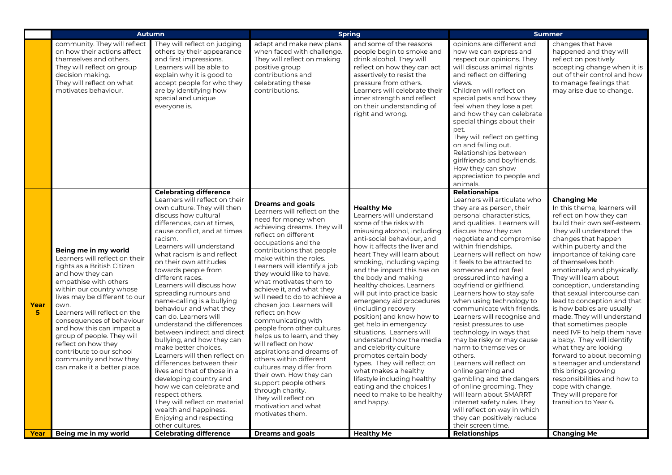|           | <b>Autumn</b>                                                                                                                                                                                                                                                                                                                                                                                                                               |                                                                                                                                                                                                                                                                                                                                                                                                                                                                                                                                                                                                                                                                                                                                                                                                                                                                          | <b>Spring</b>                                                                                                                                                                                                                                                                                                                                                                                                                                                                                                                                                                                                                                                                                                                                                 |                                                                                                                                                                                                                                                                                                                                                                                                                                                                                                                                                                                                                                                                                                                                      | <b>Summer</b>                                                                                                                                                                                                                                                                                                                                                                                                                                                                                                                                                                                                                                                                                                                                                                                                                                                              |                                                                                                                                                                                                                                                                                                                                                                                                                                                                                                                                                                                                                                                                                                                                                                  |
|-----------|---------------------------------------------------------------------------------------------------------------------------------------------------------------------------------------------------------------------------------------------------------------------------------------------------------------------------------------------------------------------------------------------------------------------------------------------|--------------------------------------------------------------------------------------------------------------------------------------------------------------------------------------------------------------------------------------------------------------------------------------------------------------------------------------------------------------------------------------------------------------------------------------------------------------------------------------------------------------------------------------------------------------------------------------------------------------------------------------------------------------------------------------------------------------------------------------------------------------------------------------------------------------------------------------------------------------------------|---------------------------------------------------------------------------------------------------------------------------------------------------------------------------------------------------------------------------------------------------------------------------------------------------------------------------------------------------------------------------------------------------------------------------------------------------------------------------------------------------------------------------------------------------------------------------------------------------------------------------------------------------------------------------------------------------------------------------------------------------------------|--------------------------------------------------------------------------------------------------------------------------------------------------------------------------------------------------------------------------------------------------------------------------------------------------------------------------------------------------------------------------------------------------------------------------------------------------------------------------------------------------------------------------------------------------------------------------------------------------------------------------------------------------------------------------------------------------------------------------------------|----------------------------------------------------------------------------------------------------------------------------------------------------------------------------------------------------------------------------------------------------------------------------------------------------------------------------------------------------------------------------------------------------------------------------------------------------------------------------------------------------------------------------------------------------------------------------------------------------------------------------------------------------------------------------------------------------------------------------------------------------------------------------------------------------------------------------------------------------------------------------|------------------------------------------------------------------------------------------------------------------------------------------------------------------------------------------------------------------------------------------------------------------------------------------------------------------------------------------------------------------------------------------------------------------------------------------------------------------------------------------------------------------------------------------------------------------------------------------------------------------------------------------------------------------------------------------------------------------------------------------------------------------|
|           | community. They will reflect<br>on how their actions affect<br>themselves and others.<br>They will reflect on group<br>decision making.<br>They will reflect on what<br>motivates behaviour.                                                                                                                                                                                                                                                | They will reflect on judging<br>others by their appearance<br>and first impressions.<br>Learners will be able to<br>explain why it is good to<br>accept people for who they<br>are by identifying how<br>special and unique<br>everyone is.                                                                                                                                                                                                                                                                                                                                                                                                                                                                                                                                                                                                                              | adapt and make new plans<br>when faced with challenge.<br>They will reflect on making<br>positive group<br>contributions and<br>celebrating these<br>contributions.                                                                                                                                                                                                                                                                                                                                                                                                                                                                                                                                                                                           | and some of the reasons<br>people begin to smoke and<br>drink alcohol. They will<br>reflect on how they can act<br>assertively to resist the<br>pressure from others.<br>Learners will celebrate their<br>inner strength and reflect<br>on their understanding of<br>right and wrong.                                                                                                                                                                                                                                                                                                                                                                                                                                                | opinions are different and<br>how we can express and<br>respect our opinions. They<br>will discuss animal rights<br>and reflect on differing<br>views.<br>Children will reflect on<br>special pets and how they<br>feel when they lose a pet<br>and how they can celebrate<br>special things about their<br>pet.<br>They will reflect on getting<br>on and falling out.<br>Relationships between<br>girlfriends and boyfriends.<br>How they can show<br>appreciation to people and<br>animals.                                                                                                                                                                                                                                                                                                                                                                             | changes that have<br>happened and they will<br>reflect on positively<br>accepting change when it is<br>out of their control and how<br>to manage feelings that<br>may arise due to change.                                                                                                                                                                                                                                                                                                                                                                                                                                                                                                                                                                       |
| Year<br>5 | Being me in my world<br>Learners will reflect on their<br>rights as a British Citizen<br>and how they can<br>empathise with others<br>within our country whose<br>lives may be different to our<br>own.<br>Learners will reflect on the<br>consequences of behaviour<br>and how this can impact a<br>group of people. They will<br>reflect on how they<br>contribute to our school<br>community and how they<br>can make it a better place. | <b>Celebrating difference</b><br>Learners will reflect on their<br>own culture. They will then<br>discuss how cultural<br>differences, can at times,<br>cause conflict, and at times<br>racism.<br>Learners will understand<br>what racism is and reflect<br>on their own attitudes<br>towards people from<br>different races.<br>Learners will discuss how<br>spreading rumours and<br>name-calling is a bullying<br>behaviour and what they<br>can do. Learners will<br>understand the differences<br>between indirect and direct<br>bullying, and how they can<br>make better choices.<br>Learners will then reflect on<br>differences between their<br>lives and that of those in a<br>developing country and<br>how we can celebrate and<br>respect others.<br>They will reflect on material<br>wealth and happiness.<br>Enjoying and respecting<br>other cultures. | <b>Dreams and goals</b><br>Learners will reflect on the<br>need for money when<br>achieving dreams. They will<br>reflect on different<br>occupations and the<br>contributions that people<br>make within the roles.<br>Learners will identify a job<br>they would like to have,<br>what motivates them to<br>achieve it, and what they<br>will need to do to achieve a<br>chosen job. Learners will<br>reflect on how<br>communicating with<br>people from other cultures<br>helps us to learn, and they<br>will reflect on how<br>aspirations and dreams of<br>others within different<br>cultures may differ from<br>their own. How they can<br>support people others<br>through charity.<br>They will reflect on<br>motivation and what<br>motivates them. | <b>Healthy Me</b><br>Learners will understand<br>some of the risks with<br>misusing alcohol, including<br>anti-social behaviour, and<br>how it affects the liver and<br>heart They will learn about<br>smoking, including vaping<br>and the impact this has on<br>the body and making<br>healthy choices. Learners<br>will put into practice basic<br>emergency aid procedures<br>(including recovery<br>position) and know how to<br>get help in emergency<br>situations. Learners will<br>understand how the media<br>and celebrity culture<br>promotes certain body<br>types. They will reflect on<br>what makes a healthy<br>lifestyle including healthy<br>eating and the choices I<br>need to make to be healthy<br>and happy. | <b>Relationships</b><br>Learners will articulate who<br>they are as person, their<br>personal characteristics,<br>and qualities. Learners will<br>discuss how they can<br>negotiate and compromise<br>within friendships.<br>Learners will reflect on how<br>it feels to be attracted to<br>someone and not feel<br>pressured into having a<br>boyfriend or girlfriend.<br>Learners how to stay safe<br>when using technology to<br>communicate with friends.<br>Learners will recognise and<br>resist pressures to use<br>technology in ways that<br>may be risky or may cause<br>harm to themselves or<br>others.<br>Learners will reflect on<br>online gaming and<br>gambling and the dangers<br>of online grooming. They<br>will learn about SMARRT<br>internet safety rules. They<br>will reflect on way in which<br>they can positively reduce<br>their screen time. | <b>Changing Me</b><br>In this theme, learners will<br>reflect on how they can<br>build their own self-esteem.<br>They will understand the<br>changes that happen<br>within puberty and the<br>importance of taking care<br>of themselves both<br>emotionally and physically.<br>They will learn about<br>conception, understanding<br>that sexual intercourse can<br>lead to conception and that<br>is how babies are usually<br>made. They will understand<br>that sometimes people<br>need IVF to help them have<br>a baby. They will identify<br>what they are looking<br>forward to about becoming<br>a teenager and understand<br>this brings growing<br>responsibilities and how to<br>cope with change.<br>They will prepare for<br>transition to Year 6. |
| Year      | Being me in my world                                                                                                                                                                                                                                                                                                                                                                                                                        | <b>Celebrating difference</b>                                                                                                                                                                                                                                                                                                                                                                                                                                                                                                                                                                                                                                                                                                                                                                                                                                            | <b>Dreams and goals</b>                                                                                                                                                                                                                                                                                                                                                                                                                                                                                                                                                                                                                                                                                                                                       | <b>Healthy Me</b>                                                                                                                                                                                                                                                                                                                                                                                                                                                                                                                                                                                                                                                                                                                    | <b>Relationships</b>                                                                                                                                                                                                                                                                                                                                                                                                                                                                                                                                                                                                                                                                                                                                                                                                                                                       | <b>Changing Me</b>                                                                                                                                                                                                                                                                                                                                                                                                                                                                                                                                                                                                                                                                                                                                               |